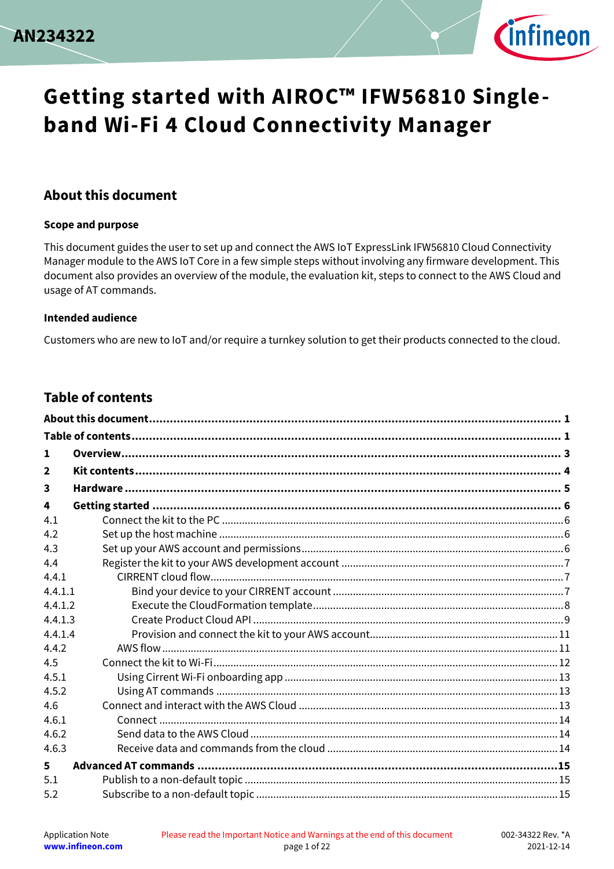



#### <span id="page-0-0"></span>**About this document**

#### **Scope and purpose**

This document guides the user to set up and connect the AWS IoT ExpressLink IFW56810 Cloud Connectivity Manager module to the AWS IoT Core in a few simple steps without involving any firmware development. This document also provides an overview of the module, the evaluation kit, steps to connect to the AWS Cloud and usage of AT commands.

#### **Intended audience**

Customers who are new to IoT and/or require a turnkey solution to get their products connected to the cloud.

#### <span id="page-0-1"></span>**Table of contents**

| 1              |  |
|----------------|--|
| $\overline{2}$ |  |
| 3              |  |
| 4              |  |
| 4.1            |  |
| 4.2            |  |
| 4.3            |  |
| 4.4            |  |
| 4.4.1          |  |
| 4.4.1.1        |  |
| 4.4.1.2        |  |
| 4.4.1.3        |  |
| 4.4.1.4        |  |
| 4.4.2          |  |
| 4.5            |  |
| 4.5.1          |  |
| 4.5.2          |  |
| 4.6            |  |
| 4.6.1          |  |
| 4.6.2          |  |
| 4.6.3          |  |
| 5              |  |
| 5.1            |  |
| 5.2            |  |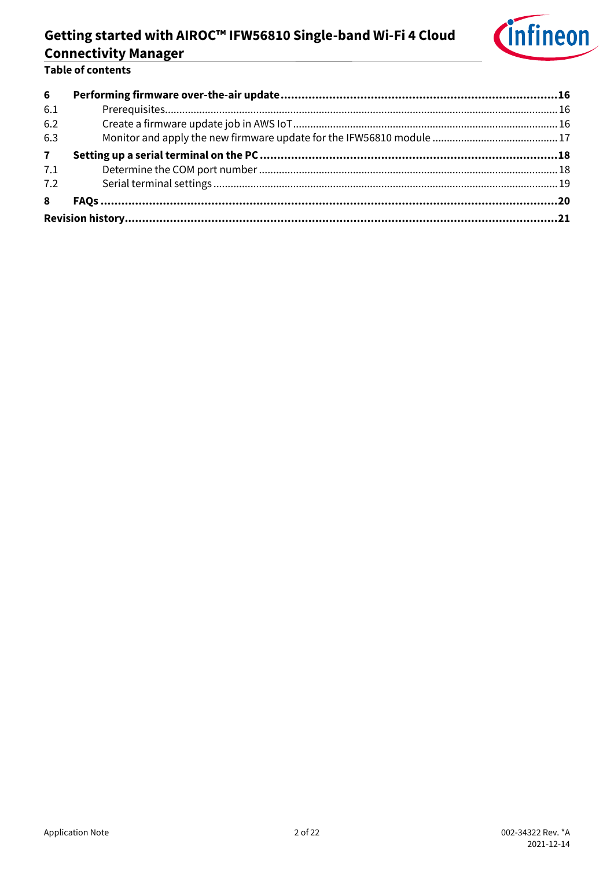

#### Table of contents

| 6            |  |
|--------------|--|
| 6.1          |  |
| 6.2          |  |
| 6.3          |  |
| $\mathbf{7}$ |  |
| 7.1          |  |
| 7.2          |  |
| 8            |  |
|              |  |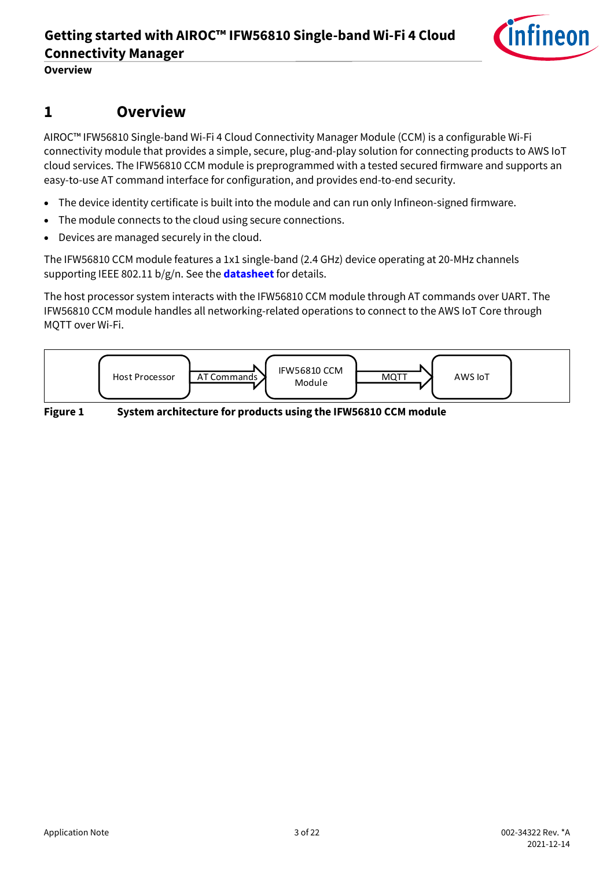

**Overview**

### <span id="page-2-0"></span>**1 Overview**

AIROC™ IFW56810 Single-band Wi-Fi 4 Cloud Connectivity Manager Module (CCM) is a configurable Wi-Fi connectivity module that provides a simple, secure, plug-and-play solution for connecting products to AWS IoT cloud services. The IFW56810 CCM module is preprogrammed with a tested secured firmware and supports an easy-to-use AT command interface for configuration, and provides end-to-end security.

- The device identity certificate is built into the module and can run only Infineon-signed firmware.
- The module connects to the cloud using secure connections.
- Devices are managed securely in the cloud.

The IFW56810 CCM module features a 1x1 single-band (2.4 GHz) device operating at 20-MHz channels supporting IEEE 802.11 b/g/n. See the **[datasheet](http://www.infineon.com/AIROCIFW56810datasheet)** for details.

The host processor system interacts with the IFW56810 CCM module through AT commands over UART. The IFW56810 CCM module handles all networking-related operations to connect to the AWS IoT Core through MQTT over Wi-Fi.



**Figure 1 System architecture for products using the IFW56810 CCM module**

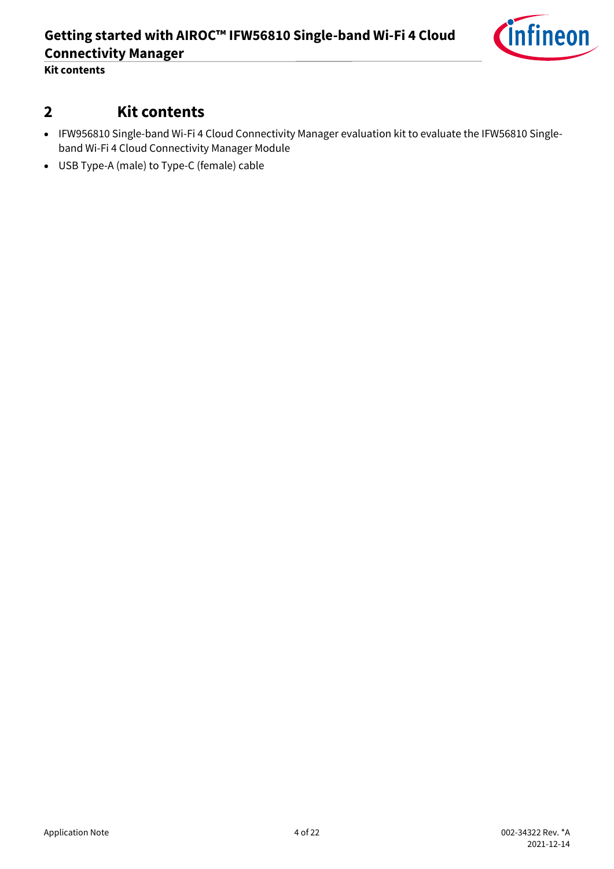

**Kit contents**

### <span id="page-3-0"></span>**2 Kit contents**

- IFW956810 Single-band Wi-Fi 4 Cloud Connectivity Manager evaluation kit to evaluate the IFW56810 Singleband Wi-Fi 4 Cloud Connectivity Manager Module
- USB Type-A (male) to Type-C (female) cable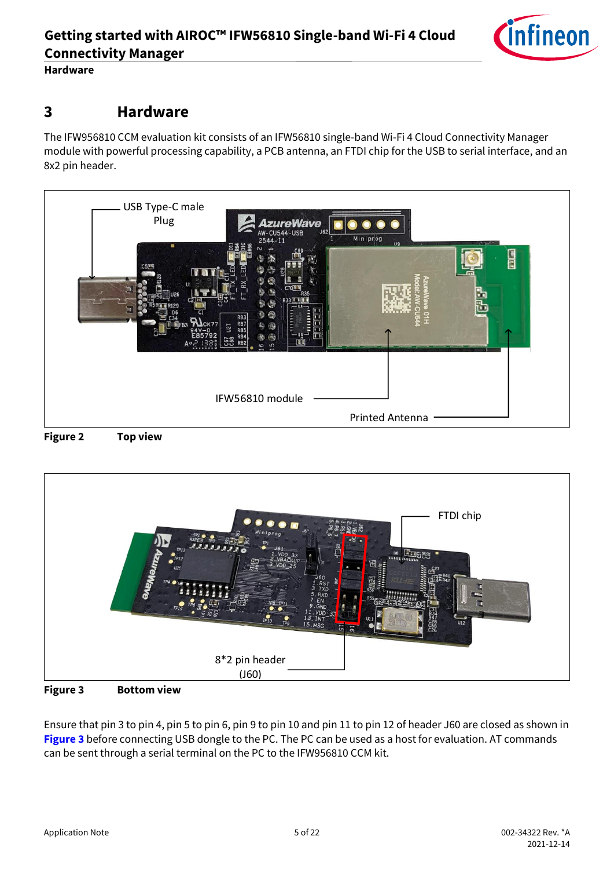**Hardware**

### <span id="page-4-0"></span>**3 Hardware**

The IFW956810 CCM evaluation kit consists of an IFW56810 single-band Wi-Fi 4 Cloud Connectivity Manager module with powerful processing capability, a PCB antenna, an FTDI chip for the USB to serial interface, and an 8x2 pin header.







<span id="page-4-1"></span>

Ensure that pin 3 to pin 4, pin 5 to pin 6, pin 9 to pin 10 and pin 11 to pin 12 of header J60 are closed as shown in [Figure 3](#page-4-1) before connecting USB dongle to the PC. The PC can be used as a host for evaluation. AT commands can be sent through a serial terminal on the PC to the IFW956810 CCM kit.

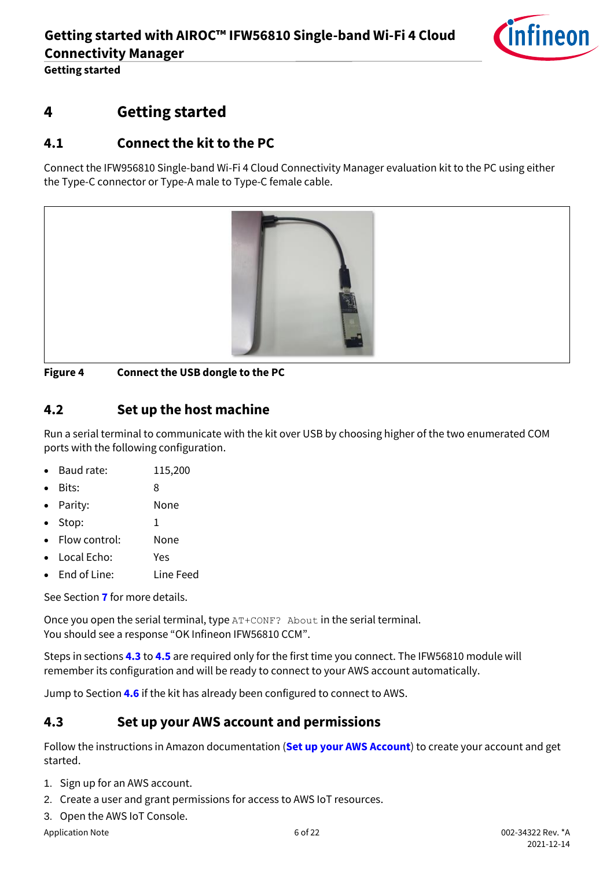

## <span id="page-5-0"></span>**4 Getting started**

### <span id="page-5-1"></span>**4.1 Connect the kit to the PC**

Connect the IFW956810 Single-band Wi-Fi 4 Cloud Connectivity Manager evaluation kit to the PC using either the Type-C connector or Type-A male to Type-C female cable.



**Figure 4 Connect the USB dongle to the PC**

#### <span id="page-5-2"></span>**4.2 Set up the host machine**

Run a serial terminal to communicate with the kit over USB by choosing higher of the two enumerated COM ports with the following configuration.

- Baud rate: 115,200
- Bits: 8
- Parity: None
- Stop:  $1$
- Flow control: None
- Local Echo: Yes
- End of Line: Line Feed

See Section **[7](#page-17-0)** for more details.

Once you open the serial terminal, type AT+CONF? About in the serial terminal. You should see a response "OK Infineon IFW56810 CCM".

Steps in sections **[4.3](#page-5-3)** to **[4.5](#page-11-0)** are required only for the first time you connect. The IFW56810 module will remember its configuration and will be ready to connect to your AWS account automatically.

Jump to Section **[4.6](#page-12-2)** if the kit has already been configured to connect to AWS.

#### <span id="page-5-3"></span>**4.3 Set up your AWS account and permissions**

Follow the instructions in Amazon documentation (**[Set up your AWS Account](https://docs.aws.amazon.com/iot/latest/developerguide/setting-up.html)**) to create your account and get started.

- 1. Sign up for an AWS account.
- 2. Create a user and grant permissions for access to AWS IoT resources.
- 3. Open the AWS IoT Console.

Application Note 6 of 22 002-34322 Rev. \*A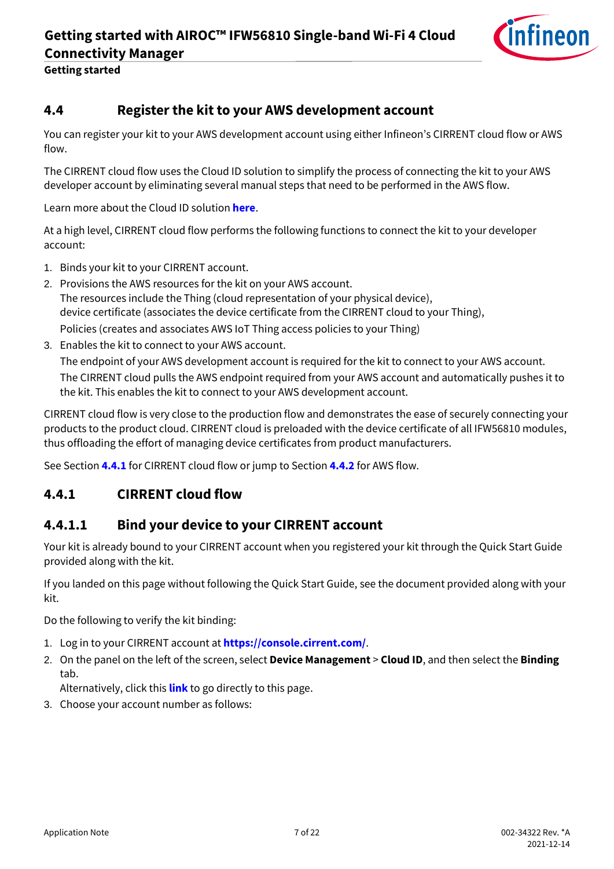

#### <span id="page-6-0"></span>**4.4 Register the kit to your AWS development account**

You can register your kit to your AWS development account using either Infineon's CIRRENT cloud flow or AWS flow.

The CIRRENT cloud flow uses the Cloud ID solution to simplify the process of connecting the kit to your AWS developer account by eliminating several manual steps that need to be performed in the AWS flow.

Learn more about the Cloud ID solution **[here](https://swdocs.cypress.com/html/cirrent-support-documentation/en/latest/cirrent-could-id.html)**.

At a high level, CIRRENT cloud flow performs the following functions to connect the kit to your developer account:

- 1. Binds your kit to your CIRRENT account.
- 2. Provisions the AWS resources for the kit on your AWS account. The resources include the Thing (cloud representation of your physical device), device certificate (associates the device certificate from the CIRRENT cloud to your Thing), Policies (creates and associates AWS IoT Thing access policies to your Thing)
- 3. Enables the kit to connect to your AWS account.

The endpoint of your AWS development account is required for the kit to connect to your AWS account. The CIRRENT cloud pulls the AWS endpoint required from your AWS account and automatically pushes it to the kit. This enables the kit to connect to your AWS development account.

CIRRENT cloud flow is very close to the production flow and demonstrates the ease of securely connecting your products to the product cloud. CIRRENT cloud is preloaded with the device certificate of all IFW56810 modules, thus offloading the effort of managing device certificates from product manufacturers.

See Section **[4.4.1](#page-6-1)** for CIRRENT cloud flow or jump to Section **[4.4.2](#page-10-1)** for AWS flow.

#### <span id="page-6-1"></span>**4.4.1 CIRRENT cloud flow**

#### <span id="page-6-2"></span>**4.4.1.1 Bind your device to your CIRRENT account**

Your kit is already bound to your CIRRENT account when you registered your kit through the Quick Start Guide provided along with the kit.

If you landed on this page without following the Quick Start Guide, see the document provided along with your kit.

Do the following to verify the kit binding:

- 1. Log in to your CIRRENT account at **<https://console.cirrent.com/>**.
- 2. On the panel on the left of the screen, select **Device Management** > **Cloud ID**, and then select the **Binding**  tab.

Alternatively, click this **[link](https://cirrent.infineon.com/cloud-devices/infineon-devices)** to go directly to this page.

3. Choose your account number as follows: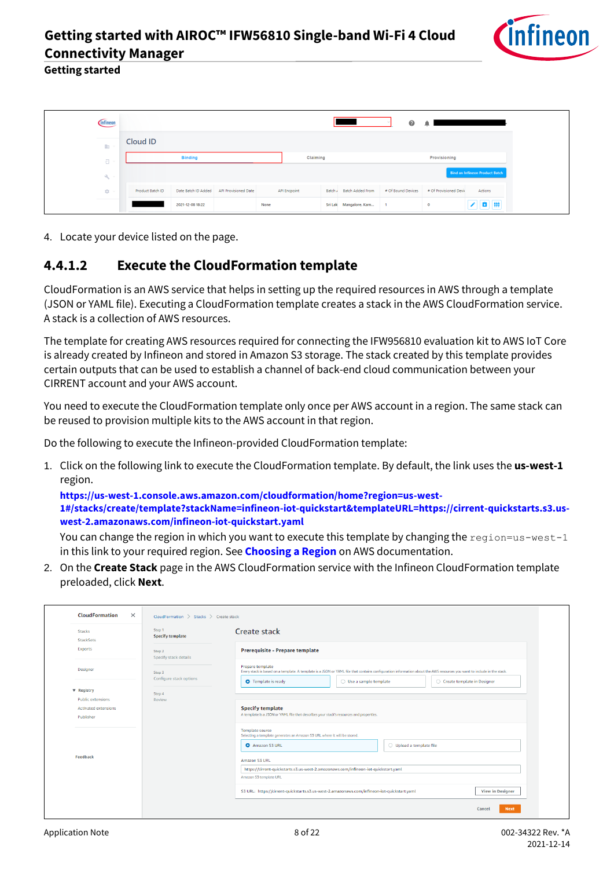

| <b>Cinfineon</b>                   |                  |                     |                      |      |              |         |                         | ◉                  | ▲                      |                                       |
|------------------------------------|------------------|---------------------|----------------------|------|--------------|---------|-------------------------|--------------------|------------------------|---------------------------------------|
| 胆                                  | Cloud ID         |                     |                      |      |              |         |                         |                    |                        |                                       |
| 집 ~                                |                  | <b>Binding</b>      |                      |      | Claiming     |         |                         |                    | Provisioning           |                                       |
| $\partial_{\theta_{\rm min}} \sim$ |                  |                     |                      |      |              |         |                         |                    |                        | <b>Bind an Infineon Product Batch</b> |
| $22 - 1$                           | Product Batch ID | Date Batch ID Added | API Provisioned Date |      | API Endpoint | Batch / | <b>Batch Added From</b> | # Of Bound Devices | # Of Provisioned Devic | Actions                               |
|                                    |                  | 2021-12-08 18:22    |                      | None |              |         | Sri Lak Mangalore, Karn | $\overline{1}$     | $\mathbf{0}$           | ₩<br>o.                               |

4. Locate your device listed on the page.

#### <span id="page-7-0"></span>**4.4.1.2 Execute the CloudFormation template**

CloudFormation is an AWS service that helps in setting up the required resources in AWS through a template (JSON or YAML file). Executing a CloudFormation template creates a stack in the AWS CloudFormation service. A stack is a collection of AWS resources.

The template for creating AWS resources required for connecting the IFW956810 evaluation kit to AWS IoT Core is already created by Infineon and stored in Amazon S3 storage. The stack created by this template provides certain outputs that can be used to establish a channel of back-end cloud communication between your CIRRENT account and your AWS account.

You need to execute the CloudFormation template only once per AWS account in a region. The same stack can be reused to provision multiple kits to the AWS account in that region.

Do the following to execute the Infineon-provided CloudFormation template:

1. Click on the following link to execute the CloudFormation template. By default, the link uses the **us-west-1** region.

**[https://us-west-1.console.aws.amazon.com/cloudformation/home?region=us-west-](https://us-west-1.console.aws.amazon.com/cloudformation/home?region=us-west-1#/stacks/create/template?stackName=infineon-iot-quickstart&templateURL=https://cirrent-quickstarts.s3.us-west-2.amazonaws.com/infineon-iot-quickstart.yaml)[1#/stacks/create/template?stackName=infineon-iot-quickstart&templateURL=https://cirrent-quickstarts.s3.us](https://us-west-1.console.aws.amazon.com/cloudformation/home?region=us-west-1#/stacks/create/template?stackName=infineon-iot-quickstart&templateURL=https://cirrent-quickstarts.s3.us-west-2.amazonaws.com/infineon-iot-quickstart.yaml)[west-2.amazonaws.com/infineon-iot-quickstart.yaml](https://us-west-1.console.aws.amazon.com/cloudformation/home?region=us-west-1#/stacks/create/template?stackName=infineon-iot-quickstart&templateURL=https://cirrent-quickstarts.s3.us-west-2.amazonaws.com/infineon-iot-quickstart.yaml)**

You can change the region in which you want to execute this template by changing the region=us-west-1 in this link to your required region. See **[Choosing a Region](https://docs.aws.amazon.com/awsconsolehelpdocs/latest/gsg/select-region.html)** on AWS documentation.

2. On the **Create Stack** page in the AWS CloudFormation service with the Infineon CloudFormation template preloaded, click **Next**.

| <b>Stacks</b><br><b>StackSets</b> | Step 1<br><b>Specify template</b> | Create stack                                                                                                                                                                                |
|-----------------------------------|-----------------------------------|---------------------------------------------------------------------------------------------------------------------------------------------------------------------------------------------|
| Exports                           | Step 2<br>Specify stack details   | Prerequisite - Prepare template                                                                                                                                                             |
| Designer                          | Step 3                            | Prepare template<br>Every stack is based on a template. A template is a JSON or YAML file that contains configuration information about the AWS resources you want to include in the stack. |
| ▼ Registry                        | Configure stack options           | <b>O</b> Template is ready<br>$\bigcirc$ Use a sample template<br>○ Create template in Designer                                                                                             |
| <b>Public extensions</b>          | Step 4<br>Review                  |                                                                                                                                                                                             |
| <b>Activated extensions</b>       |                                   | <b>Specify template</b>                                                                                                                                                                     |
| Publisher                         |                                   | A template is a JSON or YAML file that describes your stack's resources and properties.                                                                                                     |
|                                   |                                   | <b>Template source</b><br>Selecting a template generates an Amazon S3 URL where it will be stored.                                                                                          |
|                                   |                                   | <b>O</b> Amazon S3 URL<br>O Upload a template file                                                                                                                                          |
| Feedback                          |                                   | Amazon S3 URL                                                                                                                                                                               |
|                                   |                                   | https://cirrent-quickstarts.s3.us-west-2.amazonaws.com/infineon-iot-quickstart.yaml                                                                                                         |
|                                   |                                   | Amazon S3 template URL                                                                                                                                                                      |
|                                   |                                   | <b>View in Designer</b><br>S3 URL: https://cirrent-quickstarts.s3.us-west-2.amazonaws.com/infineon-iot-quickstart.yaml                                                                      |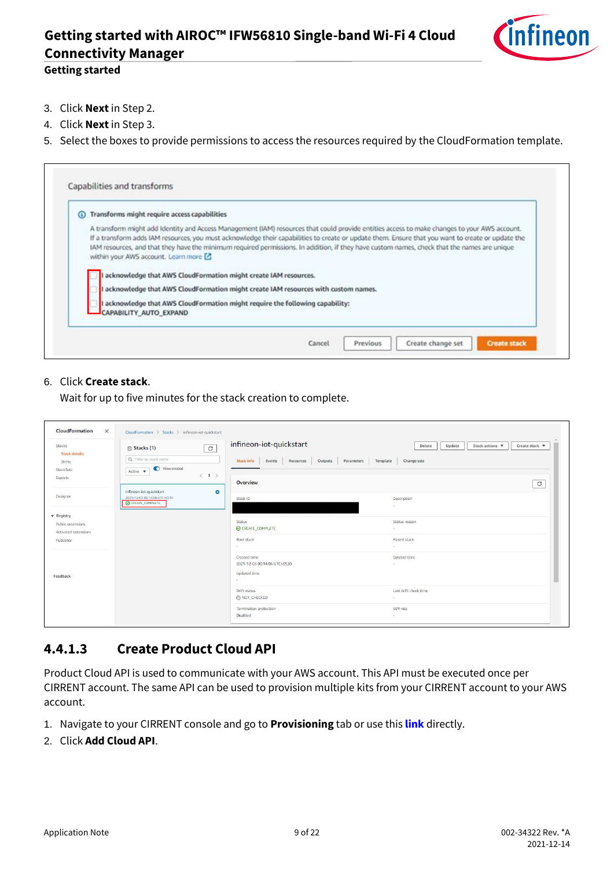

#### **Getting started**

- 3. Click **Next**in Step 2.
- 4. Click **Next**in Step 3.
- 5. Select the boxes to provide permissions to access the resources required by the CloudFormation template.

| Transforms might require access capabilities                                                                                                                                                                                                                                                                                                                                                                                                                                                                                                                     |
|------------------------------------------------------------------------------------------------------------------------------------------------------------------------------------------------------------------------------------------------------------------------------------------------------------------------------------------------------------------------------------------------------------------------------------------------------------------------------------------------------------------------------------------------------------------|
| A transform might add Identity and Access Management (IAM) resources that could provide entities access to make changes to your AWS account.<br>If a transform adds IAM resources, you must acknowledge their capabilities to create or update them. Ensure that you want to create or update the<br>IAM resources, and that they have the minimum required permissions. In addition, if they have custom names, check that the names are unique<br>within your AWS account. Learn more [2]<br>I acknowledge that AWS CloudFormation might create IAM resources. |
| I acknowledge that AWS CloudFormation might create IAM resources with custom names.                                                                                                                                                                                                                                                                                                                                                                                                                                                                              |
| I acknowledge that AWS CloudFormation might require the following capability:<br>CAPABILITY AUTO EXPAND                                                                                                                                                                                                                                                                                                                                                                                                                                                          |

#### 6. Click **Create stack**.

Wait for up to five minutes for the stack creation to complete.

| Stacks<br><b>Stack details</b>                                 | $\circ$<br>$\Box$ Stacks (1)<br>Q Filter by stack name                                    | infineon-iot-quickstart<br><b>Stack info</b>                                  | Stack actions ▼<br>Create stack ▼<br>Delete<br>Update |
|----------------------------------------------------------------|-------------------------------------------------------------------------------------------|-------------------------------------------------------------------------------|-------------------------------------------------------|
| Drifts<br>StackSets<br>Exports                                 | View nested<br>Active $\blacktriangledown$<br>$\langle 1 \rangle$                         | Outputs Parameters Template Change sets<br>Events<br>Resources<br>Overview    | $\mathcal{C}$                                         |
| Designer                                                       | infineon-iot-quickstart<br>$\bullet$<br>2021-12-03 00:14:06 UTC+0530<br>C CREATE_COMPLETE | Stack ID                                                                      | <b>Description</b><br>DOM: N                          |
| <b>v</b> Registry<br>Public extensions<br>Activated extensions |                                                                                           | <b>Status</b><br>CREATE_COMPLETE                                              | Status reason<br>DOM: N                               |
| Publisher                                                      |                                                                                           | Root stack<br>$\sim$                                                          | Parent stack<br>$\sim$ $-$                            |
| Feedback                                                       |                                                                                           | Created time<br>2021-12-03 00:14:06 UTC+0530<br><b>Updated time</b><br>$\sim$ | Deleted time<br>S.                                    |
|                                                                |                                                                                           | Drift status<br>A NOT_CHECKED                                                 | Last drift check time<br>$\sim$                       |
|                                                                |                                                                                           | Termination protection<br>Disabled                                            | IAM role<br>$\sim$                                    |

#### <span id="page-8-0"></span>**4.4.1.3 Create Product Cloud API**

Product Cloud API is used to communicate with your AWS account. This API must be executed once per CIRRENT account. The same API can be used to provision multiple kits from your CIRRENT account to your AWS account.

- 1. Navigate to your CIRRENT console and go to **Provisioning** tab or use this **[link](https://cirrent.infineon.com/cloud-devices/provisioning)** directly.
- 2. Click **Add Cloud API**.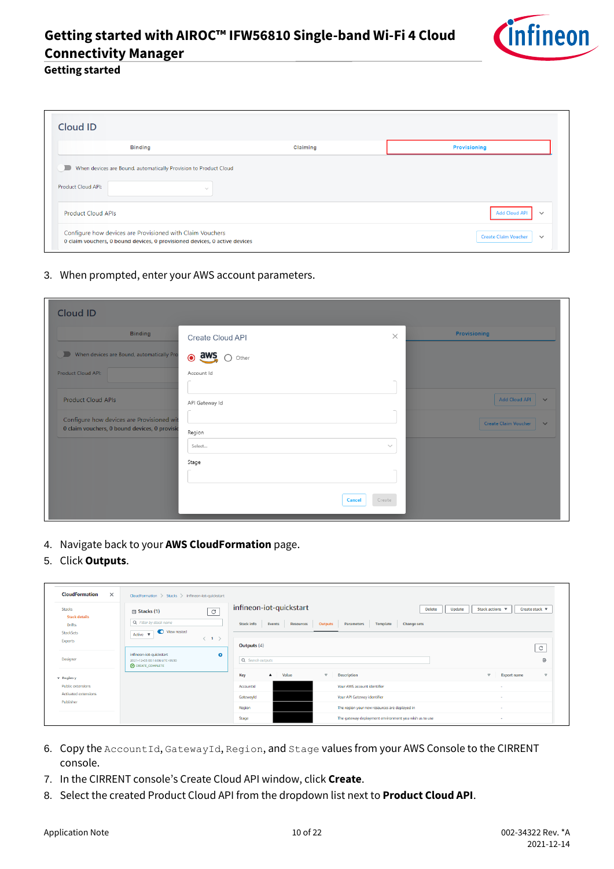

#### **Getting started**

| <b>Binding</b>                                                   | Claiming | <b>Provisioning</b>                  |
|------------------------------------------------------------------|----------|--------------------------------------|
|                                                                  |          |                                      |
| When devices are Bound, automatically Provision to Product Cloud |          |                                      |
|                                                                  |          |                                      |
| Product Cloud API:<br>$\sim$                                     |          |                                      |
|                                                                  |          |                                      |
|                                                                  |          |                                      |
|                                                                  |          |                                      |
| <b>Product Cloud APIs</b>                                        |          | <b>Add Cloud API</b><br>$\checkmark$ |
| Configure how devices are Provisioned with Claim Vouchers        |          |                                      |

3. When prompted, enter your AWS account parameters.

| <b>Cloud ID</b>                                                                            |                      |                         |                                             |
|--------------------------------------------------------------------------------------------|----------------------|-------------------------|---------------------------------------------|
| <b>Binding</b>                                                                             | Create Cloud API     | $\times$                | Provisioning                                |
| When devices are Bound, automatically Pro                                                  | $\odot$ aws<br>Other |                         |                                             |
| Product Cloud API:                                                                         | Account Id           |                         |                                             |
| Product Cloud APIs                                                                         | API Gateway Id       |                         | <b>Add Cloud API</b><br>$\checkmark$        |
| Configure how devices are Provisioned wit<br>0 claim vouchers, 0 bound devices, 0 provisio | Region               |                         | <b>Create Claim Voucher</b><br>$\checkmark$ |
|                                                                                            | Select               | $\searrow$              |                                             |
|                                                                                            | Stage                |                         |                                             |
|                                                                                            |                      | Create<br><b>Cancel</b> |                                             |

- 4. Navigate back to your **AWS CloudFormation** page.
- 5. Click **Outputs**.

| <b>CloudFormation</b><br>$\times$                            | CloudFormation > Stacks > infineon-iot-quickstart                                                                  |                                                                                                                                                        |                                             |
|--------------------------------------------------------------|--------------------------------------------------------------------------------------------------------------------|--------------------------------------------------------------------------------------------------------------------------------------------------------|---------------------------------------------|
| Stacks<br><b>Stack details</b><br><b>Drifts</b><br>StackSets | C<br>$\Box$ Stacks (1)<br>Q. Filter by stack name<br>View nested<br>Active $\overline{\mathbf{v}}$                 | infineon-iot-quickstart<br><b>Delete</b><br><b>Stack info</b><br><b>Change sets</b><br>Events<br>Outputs<br>Parameters<br>Template<br><b>Resources</b> | Create stack ▼<br>Stack actions ▼<br>Update |
| <b>Exports</b><br><b>Designer</b>                            | $\langle$ 1 $\rangle$<br>$\bullet$<br>infineon-iot-quickstart<br>2021-12-03 00:14:06 UTC+0530<br>C CREATE_COMPLETE | Outputs $(4)$<br>Q Search outputs                                                                                                                      | $\mathcal{C}$<br>O                          |
| ▼ Registry                                                   |                                                                                                                    | Value<br><b>Description</b><br>Key<br>$\boldsymbol{\nabla}$<br>$\blacktriangle$                                                                        | $\nabla$<br><b>Export name</b><br>$\nabla$  |
| <b>Public extensions</b>                                     |                                                                                                                    | Your AWS account identifier<br>AccountId                                                                                                               |                                             |
| <b>Activated extensions</b>                                  |                                                                                                                    | Your API Gateway identifier<br>Gatewayld                                                                                                               | $\sim$                                      |
| Publisher                                                    |                                                                                                                    | The region your new resources are deployed in<br>Region                                                                                                |                                             |
|                                                              |                                                                                                                    | The gateway deployment environment you wish us to use<br>Stage                                                                                         | $\sim$                                      |

- 6. Copy the AccountId, GatewayId, Region, and Stage values from your AWS Console to the CIRRENT console.
- 7. In the CIRRENT console's Create Cloud API window, click **Create**.
- 8. Select the created Product Cloud API from the dropdown list next to **Product Cloud API**.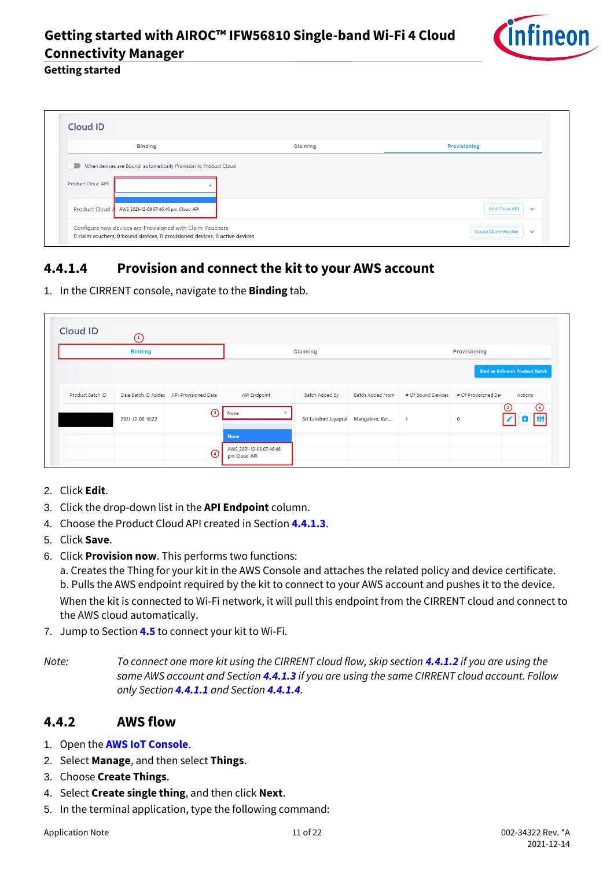

#### **Getting started**

|                           | <b>Binding</b>                                                   | Claiming | <b>Provisioning</b>                  |
|---------------------------|------------------------------------------------------------------|----------|--------------------------------------|
| $\blacksquare$            | When devices are Bound, automatically Provision to Product Cloud |          |                                      |
| <b>Product Cloud API:</b> |                                                                  |          |                                      |
|                           | $\sim$                                                           |          |                                      |
|                           |                                                                  |          | <b>Add Cloud API</b><br>$\checkmark$ |

### <span id="page-10-0"></span>**4.4.1.4 Provision and connect the kit to your AWS account**

1. In the CIRRENT console, navigate to the **Binding** tab.

| <b>Cloud ID</b>  | ⊙                   |                             |                                                        |                      |                         |                    |                      |                                       |
|------------------|---------------------|-----------------------------|--------------------------------------------------------|----------------------|-------------------------|--------------------|----------------------|---------------------------------------|
|                  | <b>Binding</b>      |                             |                                                        | Claiming             |                         |                    | Provisioning         |                                       |
|                  |                     |                             |                                                        |                      |                         |                    |                      | <b>Bind an Infineon Product Batch</b> |
| Product Batch ID | Date Batch ID Addec | <b>API Provisioned Date</b> | <b>API Endpoint</b>                                    | Batch Added By       | <b>Batch Added From</b> | # Of Bound Devices | # Of Provisioned Dev | Actions                               |
|                  | 2021-12-08 18:22    | $\odot$                     | None<br>$\checkmark$                                   | Sri Lakshmi Jayapral | Mangalore, Kar          | $\overline{1}$     | $\mathbf 0$          | $\odot$<br>$\odot$                    |
|                  |                     | ⊙                           | <b>None</b><br>AWS_2021-12-08 07:46:46<br>pm_Cloud_API |                      |                         |                    |                      |                                       |

- 2. Click **Edit**.
- 3. Click the drop-down list in the **API Endpoint** column.
- 4. Choose the Product Cloud API created in Section **[4.4.1.3](#page-8-0)**.
- 5. Click **Save**.
- 6. Click **Provision now**. This performs two functions:

a. Creates the Thing for your kit in the AWS Console and attaches the related policy and device certificate. b. Pulls the AWS endpoint required by the kit to connect to your AWS account and pushes it to the device. When the kit is connected to Wi-Fi network, it will pull this endpoint from the CIRRENT cloud and connect to the AWS cloud automatically.

7. Jump to Section **[4.5](#page-11-0)** to connect your kit to Wi-Fi.

*Note: To connect one more kit using the CIRRENT cloud flow, skip section [4.4.1.2](#page-7-0) if you are using the same AWS account and Section [4.4.1.3](#page-8-0) if you are using the same CIRRENT cloud account. Follow only Section [4.4.1.1](#page-6-2) and Section [4.4.1.4](#page-10-0).*

#### <span id="page-10-1"></span>**4.4.2 AWS flow**

- 1. Open the **[AWS IoT Console](http://console.aws.amazon.com/iot)**.
- 2. Select **Manage**, and then select **Things**.
- 3. Choose **Create Things**.
- 4. Select **Create single thing**, and then click **Next**.
- <span id="page-10-2"></span>5. In the terminal application, type the following command: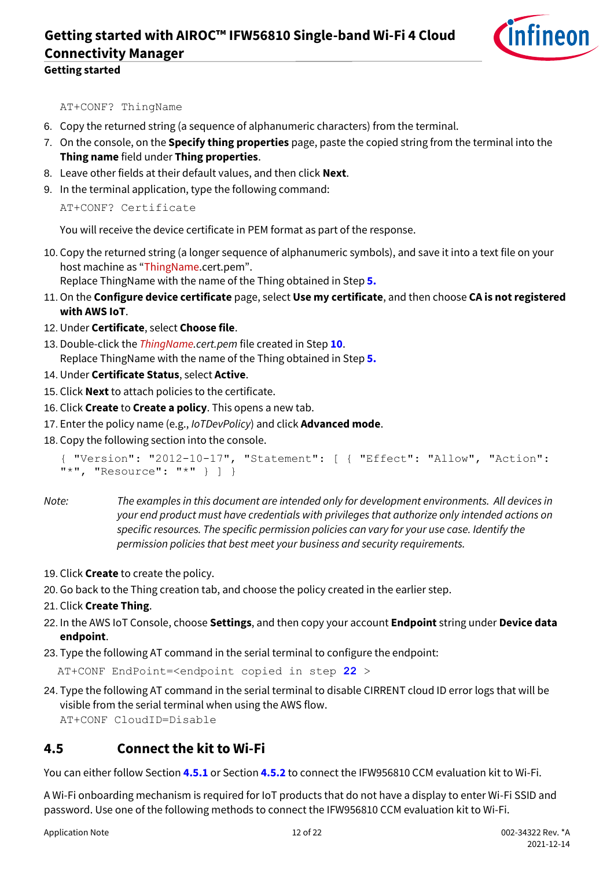

AT+CONF? ThingName

- 6. Copy the returned string (a sequence of alphanumeric characters) from the terminal.
- 7. On the console, on the **Specify thing properties** page, paste the copied string from the terminal into the **Thing name** field under **Thing properties**.
- 8. Leave other fields at their default values, and then click **Next**.
- 9. In the terminal application, type the following command:

```
AT+CONF? Certificate
```
You will receive the device certificate in PEM format as part of the response.

- <span id="page-11-1"></span>10. Copy the returned string (a longer sequence of alphanumeric symbols), and save it into a text file on your host machine as "ThingName.cert.pem". Replace ThingName with the name of the Thing obtained in Step **[5.](#page-10-2)**
- 11.On the **Configure device certificate** page, select **Use my certificate**, and then choose **CA is not registered with AWS IoT**.
- 12. Under **Certificate**, select **Choose file**.
- 13. Double-click the *ThingName.cert.pem* file created in Step **[10](#page-11-1)**. Replace ThingName with the name of the Thing obtained in Step **[5.](#page-10-2)**
- 14. Under **Certificate Status**, select **Active**.
- 15. Click **Next**to attach policies to the certificate.
- 16. Click **Create** to **Create a policy**. This opens a new tab.
- 17. Enter the policy name (e.g., *IoTDevPolicy*) and click **Advanced mode**.
- 18. Copy the following section into the console.

```
{ "Version": "2012-10-17", "Statement": [ { "Effect": "Allow", "Action": 
"*", "Resource": "*" } ] }
```
- *Note: The examples in this document are intended only for development environments. All devices in your end product must have credentials with privileges that authorize only intended actions on specific resources. The specific permission policies can vary for your use case. Identify the permission policies that best meet your business and security requirements.*
- 19. Click **Create** to create the policy.
- 20. Go back to the Thing creation tab, and choose the policy created in the earlier step.
- 21. Click **Create Thing**.
- <span id="page-11-2"></span>22. In the AWS IoT Console, choose **Settings**, and then copy your account **Endpoint** string under **Device data endpoint**.
- 23. Type the following AT command in the serial terminal to configure the endpoint:

AT+CONF EndPoint=<endpoint copied in step **[22](#page-11-2)** >

24. Type the following AT command in the serial terminal to disable CIRRENT cloud ID error logs that will be visible from the serial terminal when using the AWS flow. AT+CONF CloudID=Disable

#### <span id="page-11-0"></span>**4.5 Connect the kit to Wi-Fi**

You can either follow Section **[4.5.1](#page-12-0)** or Section **[4.5.2](#page-12-1)** to connect the IFW956810 CCM evaluation kit to Wi-Fi.

A Wi-Fi onboarding mechanism is required for IoT products that do not have a display to enter Wi-Fi SSID and password. Use one of the following methods to connect the IFW956810 CCM evaluation kit to Wi-Fi.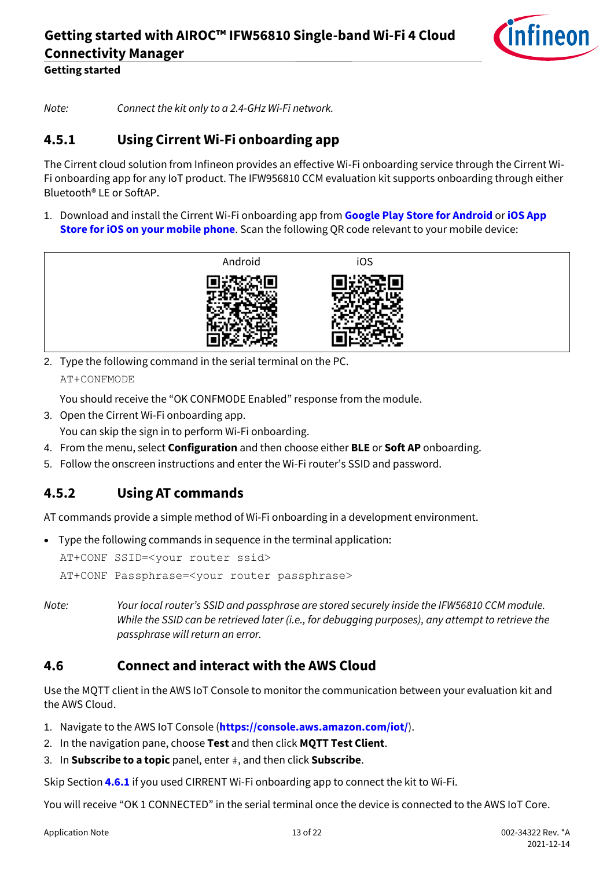

*Note: Connect the kit only to a 2.4-GHz Wi-Fi network.* 

### <span id="page-12-0"></span>**4.5.1 Using Cirrent Wi-Fi onboarding app**

The Cirrent cloud solution from Infineon provides an effective Wi-Fi onboarding service through the Cirrent Wi-Fi onboarding app for any IoT product. The IFW956810 CCM evaluation kit supports onboarding through either Bluetooth® LE or SoftAP.

1. Download and install the Cirrent Wi-Fi onboarding app from **[Google Play Store for Android](https://play.google.com/store/apps/details?id=com.cirrent.ZipKeyApp&hl=en_US&gl=US)** or **[iOS App](https://apps.apple.com/us/app/cirrent-wi-fi-onboarding/id1265896377)  [Store for iOS on your mobile phone](https://apps.apple.com/us/app/cirrent-wi-fi-onboarding/id1265896377)**. Scan the following QR code relevant to your mobile device:



2. Type the following command in the serial terminal on the PC. AT+CONFMODE

You should receive the "OK CONFMODE Enabled" response from the module.

- 3. Open the Cirrent Wi-Fi onboarding app.
- You can skip the sign in to perform Wi-Fi onboarding.
- 4. From the menu, select **Configuration** and then choose either **BLE** or **Soft AP** onboarding.
- 5. Follow the onscreen instructions and enter the Wi-Fi router's SSID and password.

### <span id="page-12-1"></span>**4.5.2 Using AT commands**

AT commands provide a simple method of Wi-Fi onboarding in a development environment.

• Type the following commands in sequence in the terminal application:

AT+CONF SSID=<your router ssid> AT+CONF Passphrase=<your router passphrase>

*Note: Your local router's SSID and passphrase are stored securely inside the IFW56810 CCM module. While the SSID can be retrieved later (i.e., for debugging purposes), any attempt to retrieve the passphrase will return an error.*

#### <span id="page-12-2"></span>**4.6 Connect and interact with the AWS Cloud**

Use the MQTT client in the AWS IoT Console to monitor the communication between your evaluation kit and the AWS Cloud.

1. Navigate to the AWS IoT Console (**<https://console.aws.amazon.com/iot/>**).

- 2. In the navigation pane, choose **Test** and then click **MQTT Test Client**.
- 3. In **Subscribe to a topic** panel, enter #, and then click **Subscribe**.

Skip Section **[4.6.1](#page-13-0)** if you used CIRRENT Wi-Fi onboarding app to connect the kit to Wi-Fi.

You will receive "OK 1 CONNECTED" in the serial terminal once the device is connected to the AWS IoT Core.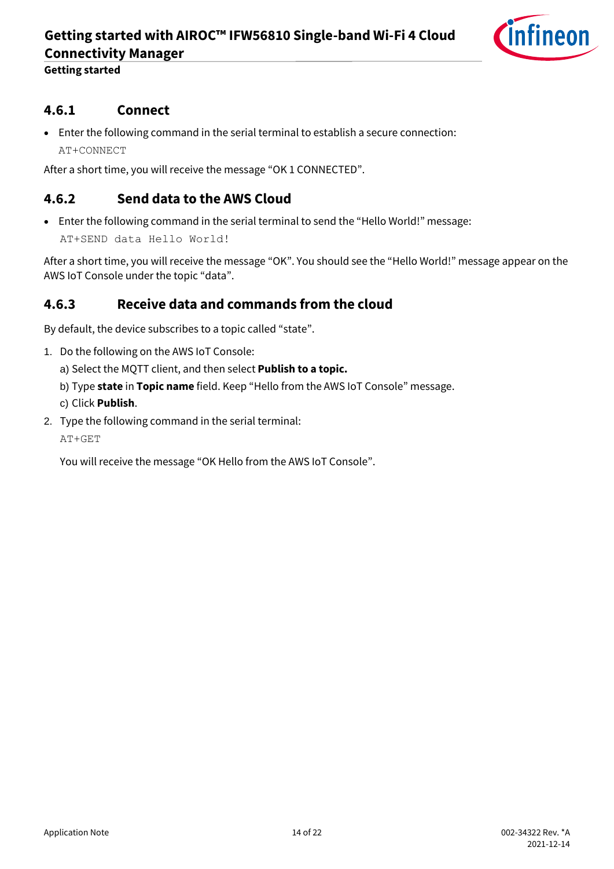

**Getting started**

#### <span id="page-13-0"></span>**4.6.1 Connect**

• Enter the following command in the serial terminal to establish a secure connection: AT+CONNECT

After a short time, you will receive the message "OK 1 CONNECTED".

#### <span id="page-13-1"></span>**4.6.2 Send data to the AWS Cloud**

• Enter the following command in the serial terminal to send the "Hello World!" message:

AT+SEND data Hello World!

After a short time, you will receive the message "OK". You should see the "Hello World!" message appear on the AWS IoT Console under the topic "data".

#### <span id="page-13-2"></span>**4.6.3 Receive data and commands from the cloud**

By default, the device subscribes to a topic called "state".

- 1. Do the following on the AWS IoT Console:
	- a) Select the MQTT client, and then select **Publish to a topic.**
	- b) Type **state** in **Topic name** field. Keep "Hello from the AWS IoT Console" message.
	- c) Click **Publish**.
- 2. Type the following command in the serial terminal:

AT+GET

You will receive the message "OK Hello from the AWS IoT Console".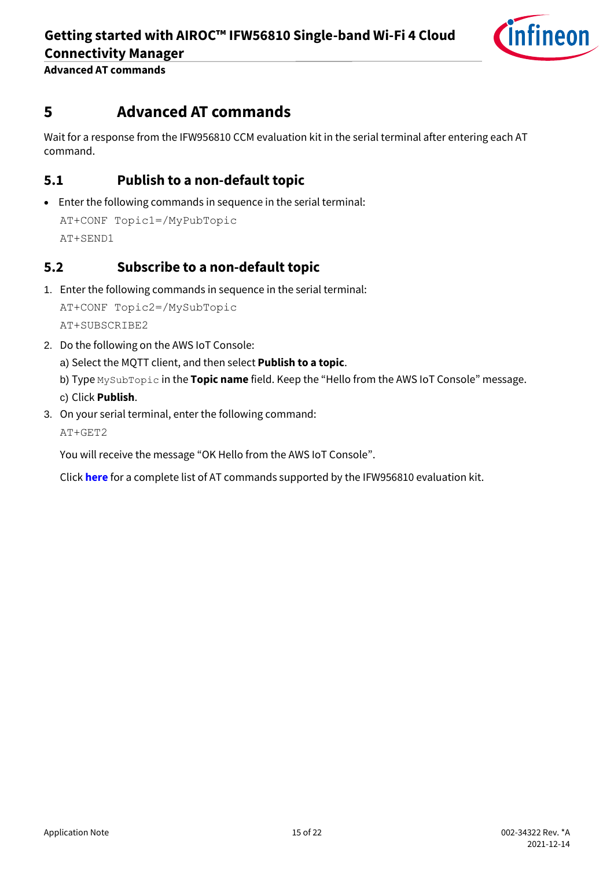

**Advanced AT commands**

### <span id="page-14-0"></span>**5 Advanced AT commands**

Wait for a response from the IFW956810 CCM evaluation kit in the serial terminal after entering each AT command.

#### <span id="page-14-1"></span>**5.1 Publish to a non-default topic**

• Enter the following commands in sequence in the serial terminal:

```
AT+CONF Topic1=/MyPubTopic
AT+SEND1
```
#### <span id="page-14-2"></span>**5.2 Subscribe to a non-default topic**

1. Enter the following commands in sequence in the serial terminal:

```
AT+CONF Topic2=/MySubTopic
AT+SUBSCRIBE2
```
2. Do the following on the AWS IoT Console:

a) Select the MQTT client, and then select **Publish to a topic**.

b) Type MySubTopic in the **Topic name** field. Keep the "Hello from the AWS IoT Console" message. c) Click **Publish**.

3. On your serial terminal, enter the following command:

AT+GET2

You will receive the message "OK Hello from the AWS IoT Console".

Click **[here](http://www.infineon.com/AIROCIFW56810commands)** for a complete list of AT commands supported by the IFW956810 evaluation kit.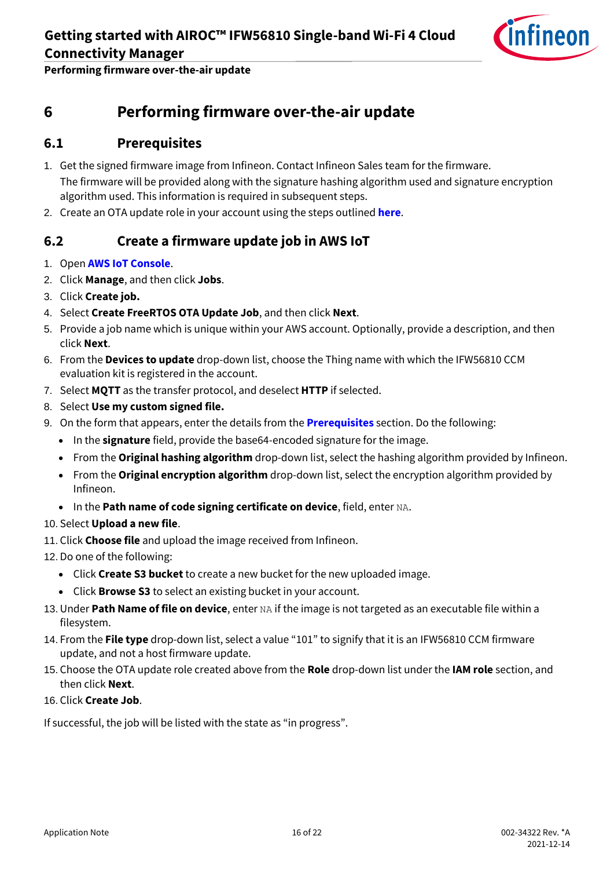

**Performing firmware over-the-air update**

### <span id="page-15-0"></span>**6 Performing firmware over-the-air update**

#### <span id="page-15-1"></span>**6.1 Prerequisites**

- 1. Get the signed firmware image from Infineon. Contact Infineon Sales team for the firmware. The firmware will be provided along with the signature hashing algorithm used and signature encryption algorithm used. This information is required in subsequent steps.
- 2. Create an OTA update role in your account using the steps outlined **[here](https://docs.aws.amazon.com/freertos/latest/userguide/create-service-role.html)**.

#### <span id="page-15-2"></span>**6.2 Create a firmware update job in AWS IoT**

- 1. Open **[AWS IoT Console](http://console.aws.amazon.com/iot)**.
- 2. Click **Manage**, and then click **Jobs**.
- 3. Click **Create job.**
- 4. Select **Create FreeRTOS OTA Update Job**, and then click **Next**.
- 5. Provide a job name which is unique within your AWS account. Optionally, provide a description, and then click **Next**.
- 6. From the **Devices to update** drop-down list, choose the Thing name with which the IFW56810 CCM evaluation kit is registered in the account.
- 7. Select **MQTT** as the transfer protocol, and deselect **HTTP** if selected.
- 8. Select **Use my custom signed file.**
- 9. On the form that appears, enter the details from the **[Prerequisites](#page-15-1)** section. Do the following:
	- In the **signature** field, provide the base64-encoded signature for the image.
	- From the **Original hashing algorithm** drop-down list, select the hashing algorithm provided by Infineon.
	- From the **Original encryption algorithm** drop-down list, select the encryption algorithm provided by Infineon.
	- In the **Path name of code signing certificate on device**, field, enter NA.
- 10. Select **Upload a new file**.
- 11. Click **Choose file** and upload the image received from Infineon.
- 12. Do one of the following:
	- Click **Create S3 bucket** to create a new bucket for the new uploaded image.
	- Click **Browse S3** to select an existing bucket in your account.
- 13. Under **Path Name of file on device**, enter NA if the image is not targeted as an executable file within a filesystem.
- 14. From the **File type** drop-down list, select a value "101" to signify that it is an IFW56810 CCM firmware update, and not a host firmware update.
- 15. Choose the OTA update role created above from the **Role** drop-down list under the **IAM role** section, and then click **Next**.
- 16. Click **Create Job**.

If successful, the job will be listed with the state as "in progress".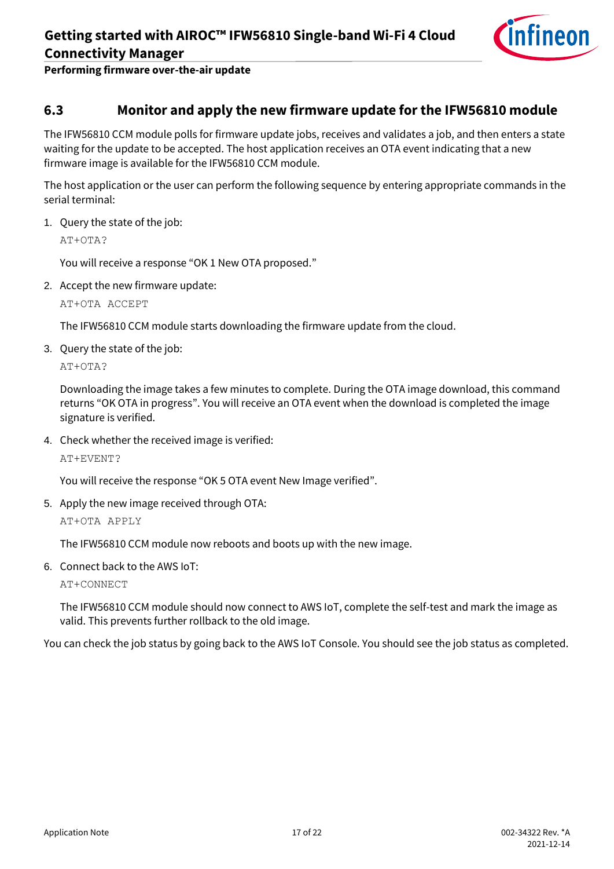

**Performing firmware over-the-air update**

#### <span id="page-16-0"></span>**6.3 Monitor and apply the new firmware update for the IFW56810 module**

The IFW56810 CCM module polls for firmware update jobs, receives and validates a job, and then enters a state waiting for the update to be accepted. The host application receives an OTA event indicating that a new firmware image is available for the IFW56810 CCM module.

The host application or the user can perform the following sequence by entering appropriate commands in the serial terminal:

1. Query the state of the job:

AT+OTA?

You will receive a response "OK 1 New OTA proposed."

2. Accept the new firmware update:

AT+OTA ACCEPT

The IFW56810 CCM module starts downloading the firmware update from the cloud.

3. Query the state of the job:

AT+OTA?

Downloading the image takes a few minutes to complete. During the OTA image download, this command returns "OK OTA in progress". You will receive an OTA event when the download is completed the image signature is verified.

4. Check whether the received image is verified:

AT+EVENT?

You will receive the response "OK 5 OTA event New Image verified".

5. Apply the new image received through OTA:

AT+OTA APPLY

The IFW56810 CCM module now reboots and boots up with the new image.

6. Connect back to the AWS IoT:

AT+CONNECT

The IFW56810 CCM module should now connect to AWS IoT, complete the self-test and mark the image as valid. This prevents further rollback to the old image.

You can check the job status by going back to the AWS IoT Console. You should see the job status as completed.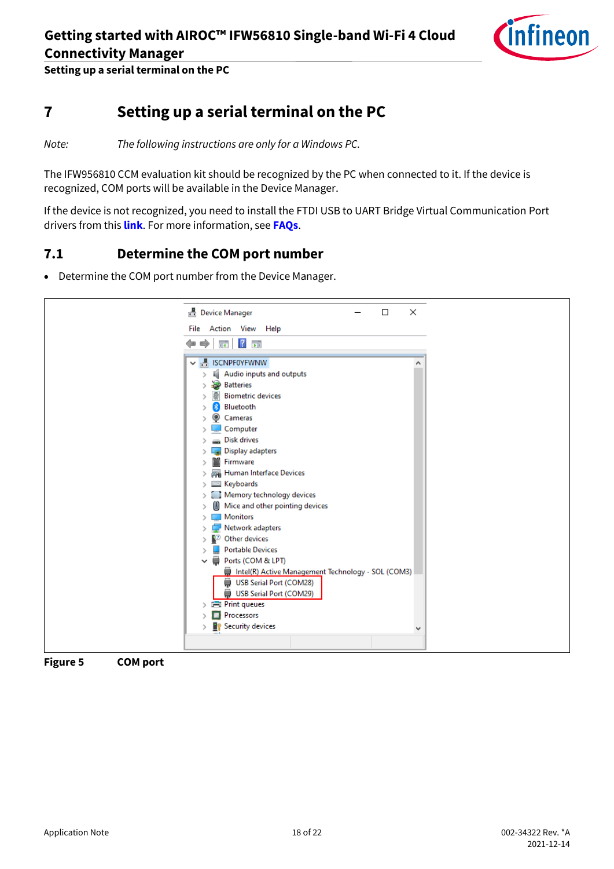

**Setting up a serial terminal on the PC**

## <span id="page-17-0"></span>**7 Setting up a serial terminal on the PC**

*Note: The following instructions are only for a Windows PC.*

The IFW956810 CCM evaluation kit should be recognized by the PC when connected to it. If the device is recognized, COM ports will be available in the Device Manager.

If the device is not recognized, you need to install the FTDI USB to UART Bridge Virtual Communication Port drivers from this **[link](https://ftdichip.com/drivers/vcp-drivers/)**. For more information, see **[FAQs](#page-19-0)**.

#### <span id="page-17-1"></span>**7.1 Determine the COM port number**

• Determine the COM port number from the Device Manager.

| <b>B</b> Device Manager                                    | $\Box$ | × |
|------------------------------------------------------------|--------|---|
| File Action View Help                                      |        |   |
|                                                            |        |   |
| $\overline{?}$ $\overline{2}$<br>$\Rightarrow$<br>$=$<br>頭 |        |   |
| <b>▽ 昌 ISCNPF0YFWNW</b>                                    |        |   |
| Audio inputs and outputs                                   |        |   |
| <b>Batteries</b>                                           |        |   |
| <b>Biometric devices</b>                                   |        |   |
| Bluetooth                                                  |        |   |
| Cameras                                                    |        |   |
| Computer                                                   |        |   |
| <b>Disk drives</b>                                         |        |   |
| Display adapters                                           |        |   |
| Firmware                                                   |        |   |
| <b>W</b> Human Interface Devices                           |        |   |
| Keyboards                                                  |        |   |
| Memory technology devices                                  |        |   |
| Mice and other pointing devices                            |        |   |
| <b>Monitors</b>                                            |        |   |
| Network adapters                                           |        |   |
| <b>D</b> Other devices                                     |        |   |
| <b>Portable Devices</b>                                    |        |   |
| Ports (COM & LPT)<br>⊜<br>$\checkmark$                     |        |   |
| Intel(R) Active Management Technology - SOL (COM3)         |        |   |
| USB Serial Port (COM28)                                    |        |   |
| USB Serial Port (COM29)                                    |        |   |
| <b>Fill Print queues</b><br>$\geq$<br>Processors           |        |   |
| <b>P</b> Security devices                                  |        |   |
|                                                            |        | v |
|                                                            |        |   |

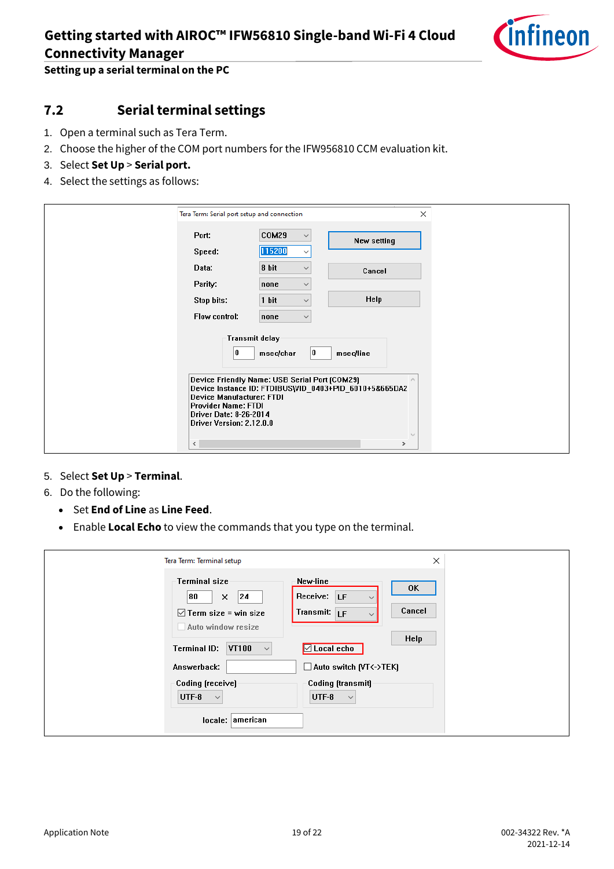

**Setting up a serial terminal on the PC**

### <span id="page-18-0"></span>**7.2 Serial terminal settings**

- 1. Open a terminal such as Tera Term.
- 2. Choose the higher of the COM port numbers for the IFW956810 CCM evaluation kit.
- 3. Select **Set Up** > **Serial port.**
- 4. Select the settings as follows:

| $\times$<br>Tera Term: Serial port setup and connection                                                                                                                                                                                                                                                                                                  |                               |             |  |  |
|----------------------------------------------------------------------------------------------------------------------------------------------------------------------------------------------------------------------------------------------------------------------------------------------------------------------------------------------------------|-------------------------------|-------------|--|--|
| Port:                                                                                                                                                                                                                                                                                                                                                    | COM29                         | New setting |  |  |
| Speed:                                                                                                                                                                                                                                                                                                                                                   | 115200<br>$\checkmark$        |             |  |  |
| Data:<br>Parity:                                                                                                                                                                                                                                                                                                                                         | 8 bit<br>none<br>$\checkmark$ | Cancel      |  |  |
| Stop bits:                                                                                                                                                                                                                                                                                                                                               | 1 bit<br>$\checkmark$         | <b>Help</b> |  |  |
| Flow control:                                                                                                                                                                                                                                                                                                                                            | none<br>$\checkmark$          |             |  |  |
| Transmit delay<br>0<br>10<br>msec/line<br>msec/char<br>Device Friendly Name: USB Serial Port (COM29)<br>$\mathcal{N}_1$<br>Device Instance ID: FTDIBUS\VID_0403+PID_6010+5&665DA2<br>Device Manufacturer: FTDI<br><b>Provider Name: FTDI</b><br>Driver Date: 8-26-2014<br>Driver Version: 2.12.0.0<br>$\mathcal{N}_{\mathcal{A}}$<br>$\hat{~}$<br>$\geq$ |                               |             |  |  |

#### 5. Select **Set Up** > **Terminal**.

- 6. Do the following:
	- Set **End of Line** as **Line Feed**.
	- Enable **Local Echo** to view the commands that you type on the terminal.

| Tera Term: Terminal setup                                                                                                                              | ×                                                                                                                                                     |
|--------------------------------------------------------------------------------------------------------------------------------------------------------|-------------------------------------------------------------------------------------------------------------------------------------------------------|
| Terminal size<br>80<br> 24<br>x<br>$\boxdot$ Term size = win size<br>Auto window resize<br><b>Terminal ID:</b><br>VT100<br>$\checkmark$<br>Answerback: | New-line<br>0K<br>Receive: LF<br>$\checkmark$<br>Cancel<br>Transmit: LF<br>$\checkmark$<br>Help<br>$\Box$ Local echo<br>$\Box$ Auto switch (VT<->TEK) |
| Coding (receive)<br>UTF-8<br>$\checkmark$<br>locale: american                                                                                          | Coding (transmit)<br>UTF-8<br>$\checkmark$                                                                                                            |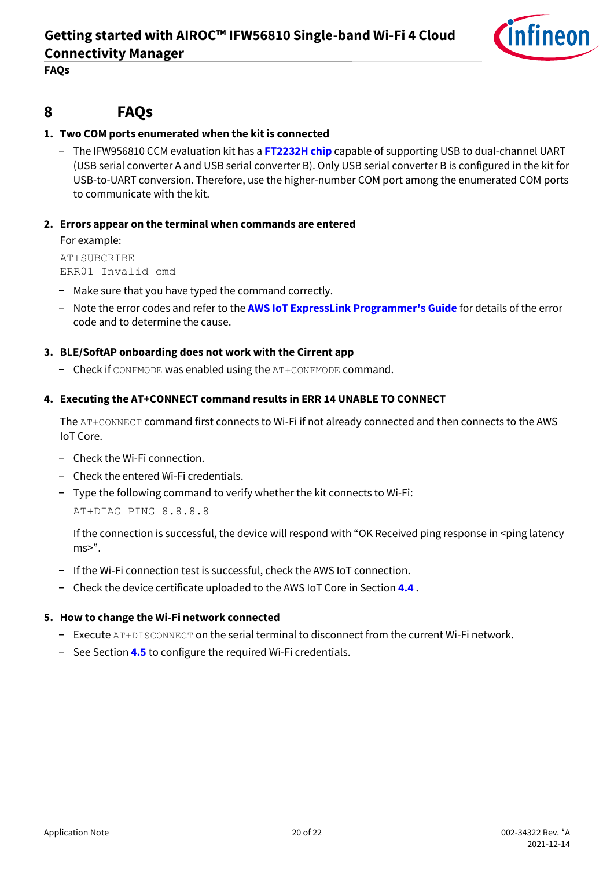

**FAQs**

#### <span id="page-19-0"></span>**8 FAQs**

#### **1. Two COM ports enumerated when the kit is connected**

− The IFW956810 CCM evaluation kit has a **[FT2232H chip](http://www.ftdichip.com/Support/Documents/DataSheets/ICs/DS_FT2232H.pdf)** capable of supporting USB to dual-channel UART (USB serial converter A and USB serial converter B). Only USB serial converter B is configured in the kit for USB-to-UART conversion. Therefore, use the higher-number COM port among the enumerated COM ports to communicate with the kit.

#### **2. Errors appear on the terminal when commands are entered**

For example:

AT+SUBCRIBE ERR01 Invalid cmd

- − Make sure that you have typed the command correctly.
- − Note the error codes and refer to the **[AWS IoT ExpressLink Programmer's Guide](https://docs.aws.amazon.com/iot-expresslink/)** for details of the error code and to determine the cause.

#### **3. BLE/SoftAP onboarding does not work with the Cirrent app**

− Check if CONFMODE was enabled using the AT+CONFMODE command.

#### **4. Executing the AT+CONNECT command results in ERR 14 UNABLE TO CONNECT**

The AT+CONNECT command first connects to Wi-Fi if not already connected and then connects to the AWS IoT Core.

- − Check the Wi-Fi connection.
- − Check the entered Wi-Fi credentials.
- − Type the following command to verify whether the kit connects to Wi-Fi:

AT+DIAG PING 8.8.8.8

If the connection is successful, the device will respond with "OK Received ping response in <ping latency  $ms<sup>2</sup>$ .

- − If the Wi-Fi connection test is successful, check the AWS IoT connection.
- − Check the device certificate uploaded to the AWS IoT Core in Section **[4.4](#page-6-0)** .

#### **5. How to change the Wi-Fi network connected**

- − Execute AT+DISCONNECT on the serial terminal to disconnect from the current Wi-Fi network.
- − See Section **[4.5](#page-11-0)** to configure the required Wi-Fi credentials.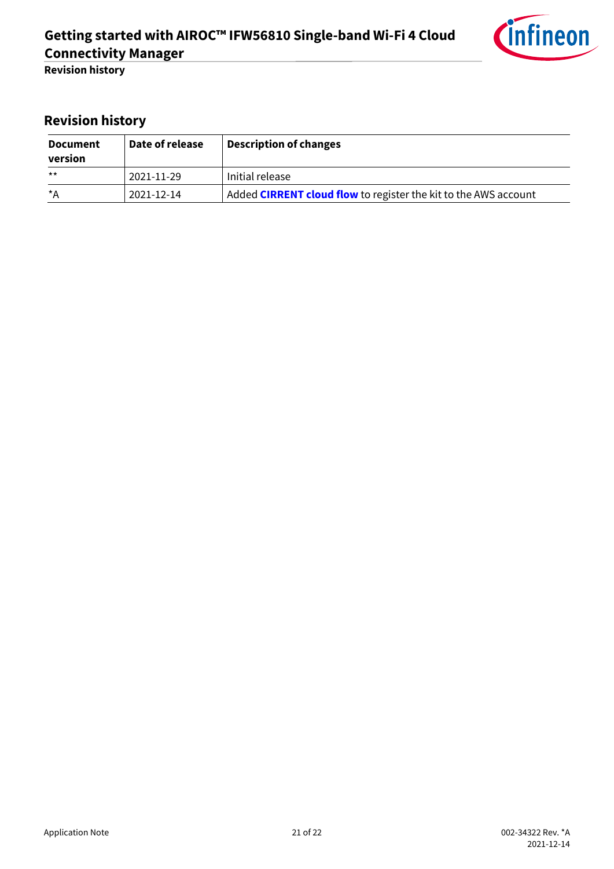

<span id="page-20-0"></span>**Revision history**

| <b>Document</b><br>version | Date of release | <b>Description of changes</b>                                          |
|----------------------------|-----------------|------------------------------------------------------------------------|
| $***$                      | 2021-11-29      | Initial release                                                        |
| *A                         | 2021-12-14      | Added <b>CIRRENT cloud flow</b> to register the kit to the AWS account |